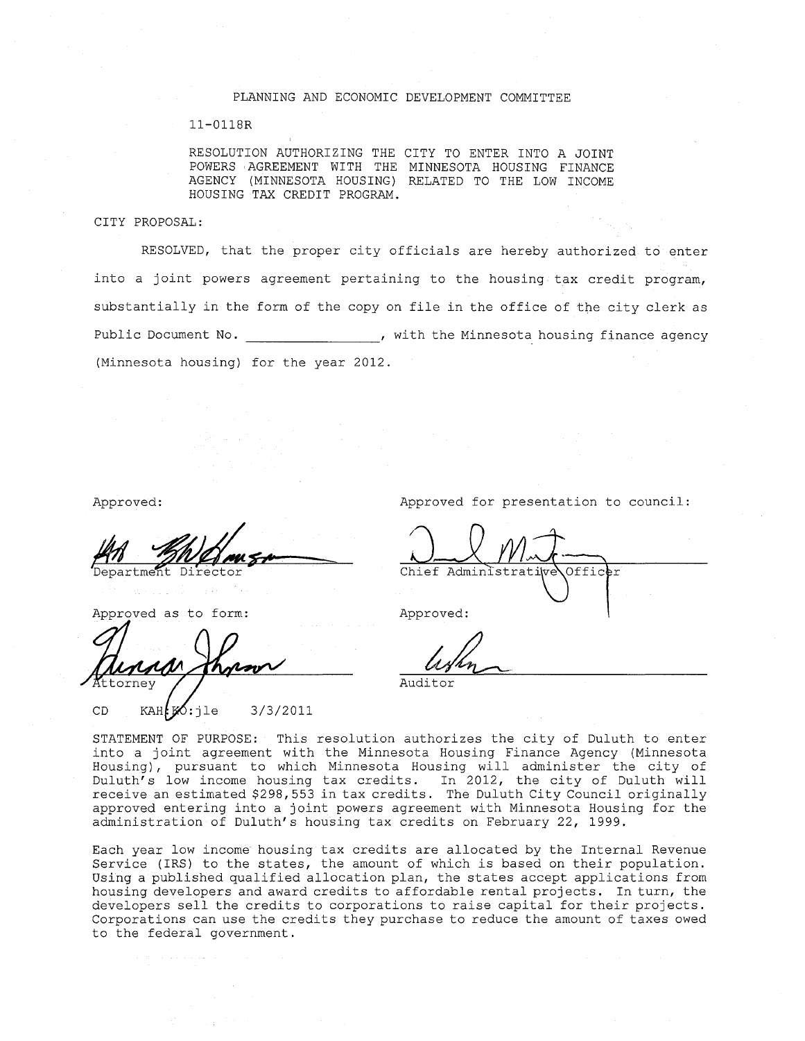#### PLANNING AND ECONOMIC DEVELOPMENT COMMITTEE

#### ll-0118R

RESOLUTION AUTHORIZING THE CITY TO ENTER INTO A JOINT POWERS 'AGREEMENT WITH THE MINNESOTA HOUSING FINANCE AGENCY (MINNESOTA HOUSING) RELATED TO THE LOW INCOME HOUSING TAX CREDIT PROGRAM.

#### CITY PROPOSAL:

RESOLVED, that the proper city officials are hereby authorized to enter into a joint powers agreement pertaining to the housing tax credit program, substantially in the form of the copy on file in the office of the city clerk as Public Document No.  $\qquad \qquad$ , with the Minnesota housing finance agency (Minnesota housing) for the year 2012.

AN MUNICULA

Approved as to form: Approved:

tornev

CD  $KAH$   $\cancel{50}:1e$  3/3/2011

Approved: Approved for presentation to council:

Officer Chief Administrativ

Auditor

STATEMENT OF PURPOSE: This resolution authorizes the city of Duluth to enter into a joint agreement with the Minnesota Housing Finance Agency (Minnesota Housing), pursuant to which Minnesota Housing will administer the city of Duluth's low income housing tax credits. In 2012, the city of Duluth will receive an estimated \$298,553 in tax credits. The Duluth City Council originally approved entering into a joint powers agreement with Minnesota Housing for the administration of Duluth's housing tax credits on February 22, 1999.

Each year low income housing tax credits are allocated by the Internal Revenue Service (IRS) to the states, the amount of which is based on their population. Using a published qualified allocation plan, the states accept applications from housing developers and award credits to affordable rental projects. In turn, the developers sell the credits to corporations to raise capital for their projects. Corporations can use the credits they purchase to reduce the amount of taxes owed to the federal government.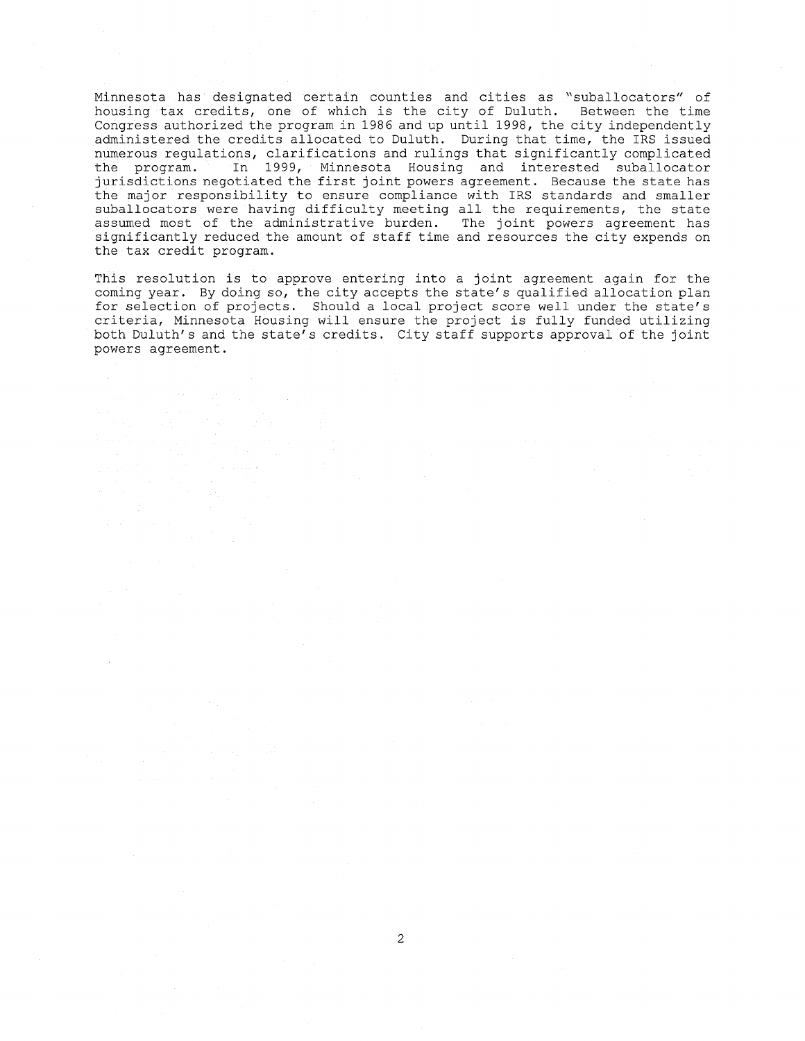Minnesota has designated certain counties and cities as "suballocators" of housing tax credits, one of which is the city of Duluth. Between the time Congress authorized the program in 1986 and up until 1998, the city independently administered the credits allocated to Duluth. During that time, the IRS issued numerous regulations, clarifications and rulings that significantly complicated<br>the program. In 1999, Minnesota Housing and interested suballocator In 1999, Minnesota Housing and interested suballocator jurisdictions negotiated the first joint powers agreement. Because the state has the major responsibility to ensure compliance with IRS standards and smaller suballocators were having difficulty meeting all the requirements, the state assumed most of the administrative burden. The joint powers agreement has significantly reduced the amount of staff time and resources the city expends on the tax credit program.

This resolution is to approve entering into a joint agreement again for the coming year. By doing so, the city accepts the state's qualified allocation plan for selection of projects. Should a local project score well under the state's criteria, Minnesota Housing will ensure the project is fully funded utilizing both Duluth's and the state's credits. City staff supports approval of the joint powers agreement.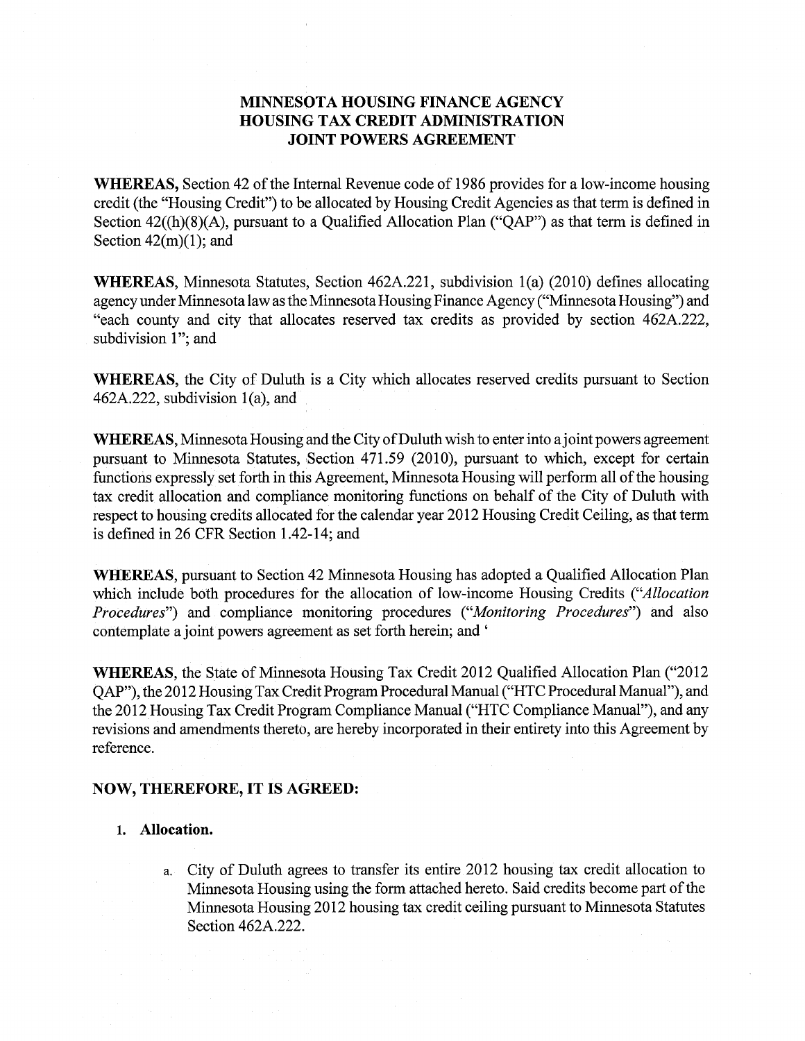## MINNESOTA HOUSING FINANCE AGENCY HOUSING TAX CREDIT ADMINISTRATION JOINT POWERS AGREEMENT

WHEREAS, Section 42 of the Internal Revenue code of 1986 provides for a low-income housing credit (the "Housing Credit") to be allocated by Housing Credit Agencies as that term is defined in Section 42((h)(8)(A), pursuant to a Qualified Allocation Plan ("QAP") as that term is defined in Section  $42(m)(1)$ ; and

WHEREAS, Minnesota Statutes, Section 462A.221, subdivision 1(a) (2010) defines allocating agency under Minnesota law as the Minnesota Housing Finance Agency ("Minnesota Housing") and "each county and city that allocates reserved tax credits as provided by section 462A.222, subdivision 1"; and

WHEREAS, the City of Duluth is a City which allocates reserved credits pursuant to Section 462A.222, subdivision 1(a), and

WHEREAS, Minnesota Housing and the City of Duluth wish to enter into a joint powers agreement pursuant to Minnesota Statutes, Section 471.59 (2010), pursuant to which, except for certain functions expressly set forth in this Agreement, Minnesota Housing will perform all of the housing tax credit allocation and compliance monitoring functions on behalf of the City of Duluth with respect to housing credits allocated for the calendar year 2012 Housing Credit Ceiling, as that term is defined in 26 CFR Section 1.42-14; and

WHEREAS, pursuant to Section 42 Minnesota Housing has adopted a Qualified Allocation Plan which include both procedures for the allocation of low-income Housing Credits *("Allocation Procedures")* and compliance monitoring procedures *("Monitoring Procedures")* and also contemplate a joint powers agreement as set forth herein; and'

WHEREAS, the State of Minnesota Housing Tax Credit 2012 Qualified Allocation Plan ("2012 QAP"), the 2012 Housing Tax Credit Program Procedural Manual ("HTC Procedural Manual"), and the 2012 Housing Tax Credit Program Compliance Manual ("HTC Compliance Manual"), and any revisions and amendments thereto, are hereby incorporated in their entirety into this Agreement by reference.

### NOW, THEREFORE, IT IS AGREED:

### 1. Allocation.

a. City of Duluth agrees to transfer its entire 2012 housing tax credit allocation to Minnesota Housing using the form attached hereto. Said credits become part of the Minnesota Housing 2012 housing tax credit ceiling pursuant to Minnesota Statutes Section 462A.222.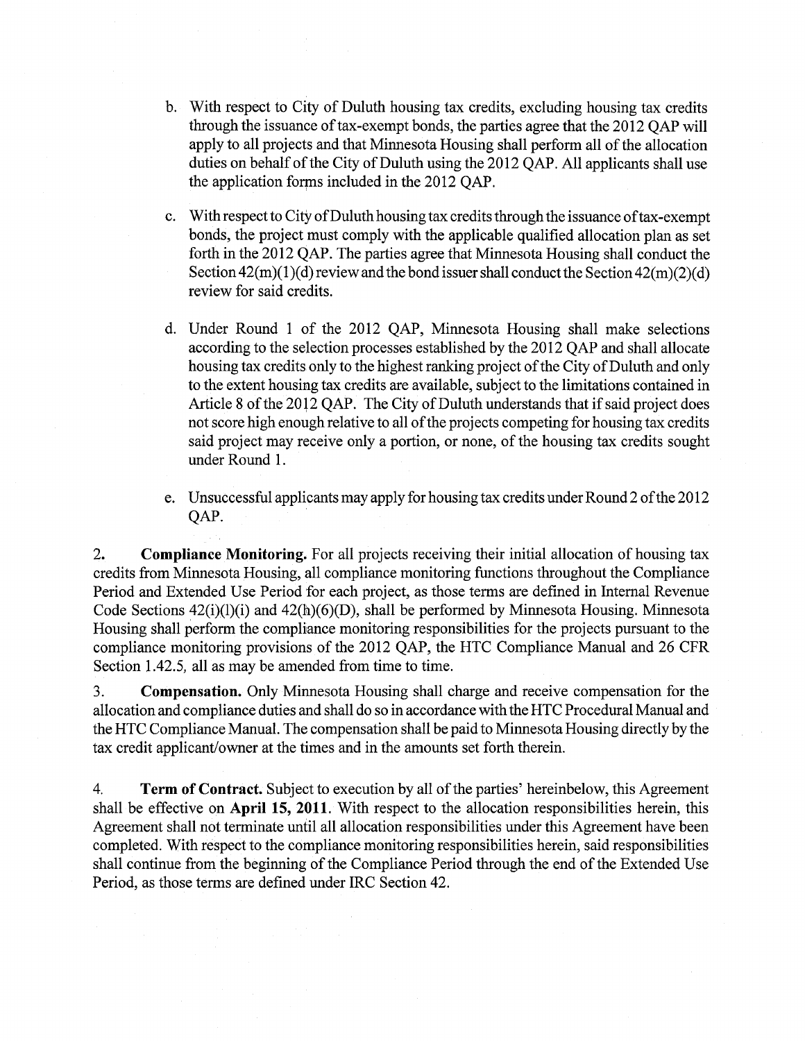- b. With respect to City of Duluth housing tax credits, excluding housing tax credits through the issuance of tax-exempt bonds, the parties agree that the 2012 QAP will apply to all projects and that Minnesota Housing shall perform all of the allocation duties on behalf of the City of Duluth using the 2012 QAP. All applicants shall use the application forms included in the 2012 OAP.
- c. With respect to City of Duluth housing tax credits through the issuance of tax-exempt bonds, the project must comply with the applicable qualified allocation plan as set forth in the 2012 QAP. The parties agree that Minnesota Housing shall conduct the Section  $42(m)(1)(d)$  review and the bond issuer shall conduct the Section  $42(m)(2)(d)$ review for said credits.
- d. Under Round 1 of the 2012 QAP, Minnesota Housing shall make selections according to the selection processes established by the 2012 QAP and shall allocate housing tax credits only to the highest ranking project of the City of Duluth and only to the extent housing tax credits are available, subject to the limitations contained in Article 8 of the 20l2 QAP. The City of Duluth understands that if said project does not score high enough relative to all of the projects competing for housing tax credits said project may receive only a portion, or none, of the housing tax credits sought under Round 1.
- e. Unsuccessful applicants may apply for housing tax credits under Round 2 ofthe 2012 QAP.

2. **Compliance Monitoring.** For all projects receiving their initial allocation of housing tax credits from Minnesota Housing, all compliance monitoring functions throughout the Compliance Period and Extended Use Period for each project, as those terms are defined in Internal Revenue Code Sections 42(i)(l)(i) and 42(h)(6)(D), shall be performed by Minnesota Housing. Minnesota Housing shall perform the compliance monitoring responsibilities for the projects pursuant to the compliance monitoring provisions of the 2012 QAP, the HTC Compliance Manual and 26 CFR Section 1.42.5, all as may be amended from time to time.

3. **Compensation.** Only Minnesota Housing shall charge and receive compensation for the allocation and compliance duties and shall do so in accordance with the HTC Procedural Manual and the HTC Compliance Manual. The compensation shall be paid to Minnesota Housing directly by the tax credit applicant/owner at the times and in the amounts set forth therein.

4. **Term of Contract.** Subject to execution by all of the parties' hereinbelow, this Agreement shall be effective on **April 15, 2011.** With respect to the allocation responsibilities herein, this Agreement shall not terminate until all allocation responsibilities under this Agreement have been completed. With respect to the compliance monitoring responsibilities herein, said responsibilities shall continue from the beginning of the Compliance Period through the end of the Extended Use Period, as those terms are defined under IRC Section 42.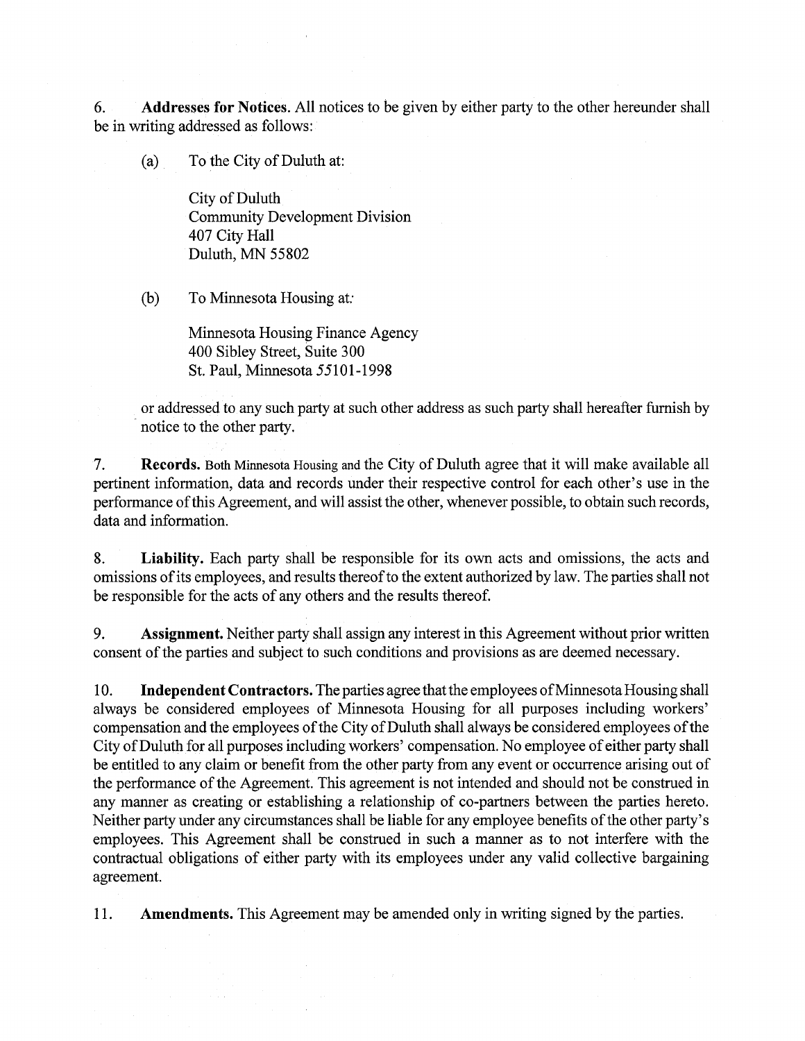6. **Addresses for Notices.** All notices to be given by either party to the other hereunder shall be in writing addressed as follows:

(a) To the City of Duluth at:

City of Duluth Community Development Division 407 City Hall Duluth, MN 55802

(b) To Minnesota Housing at:

Minnesota Housing Finance Agency 400 Sibley Street, Suite 300 St. Paul, Minnesota 55101-1998

or addressed to any such party at such other address as such party shall hereafter furnish by notice to the other party.

7. **Records.** Both Minnesota Housing and the City of Duluth agree that it will make available all pertinent information, data and records under their respective control for each other's use in the performance of this Agreement, and will assist the other, whenever possible, to obtain such records, data and information.

8. **Liability.** Each party shall be responsible for its own acts and omissions, the acts and omissions of its employees, and results thereof to the extent authorized by law. The parties shall not be responsible for the acts of any others and the results thereof.

9. **Assignment.** Neither party shall assign any interest in this Agreement without prior written consent of the parties and subject to such conditions and provisions as are deemed necessary.

10. **Independent Contractors.** The parties agree that the employees of Minnesota Housing shall always be considered employees of Minnesota Housing for all purposes including workers' compensation and the employees of the City of Duluth shall always be considered employees of the City of Duluth for all purposes including workers' compensation. No employee of either party shall be entitled to any claim or benefit from the other party from any event or occurrence arising out of the performance of the Agreement. This agreement is not intended and should not be construed in any manner as creating or establishing a relationship of co-partners between the parties hereto. Neither party under any circumstances shall be liable for any employee benefits of the other party's employees. This Agreement shall be construed in such a manner as to not interfere with the contractual obligations of either party with its employees under any valid collective bargaining agreement.

11. **Amendments.** This Agreement may be amended only in writing signed by the parties.